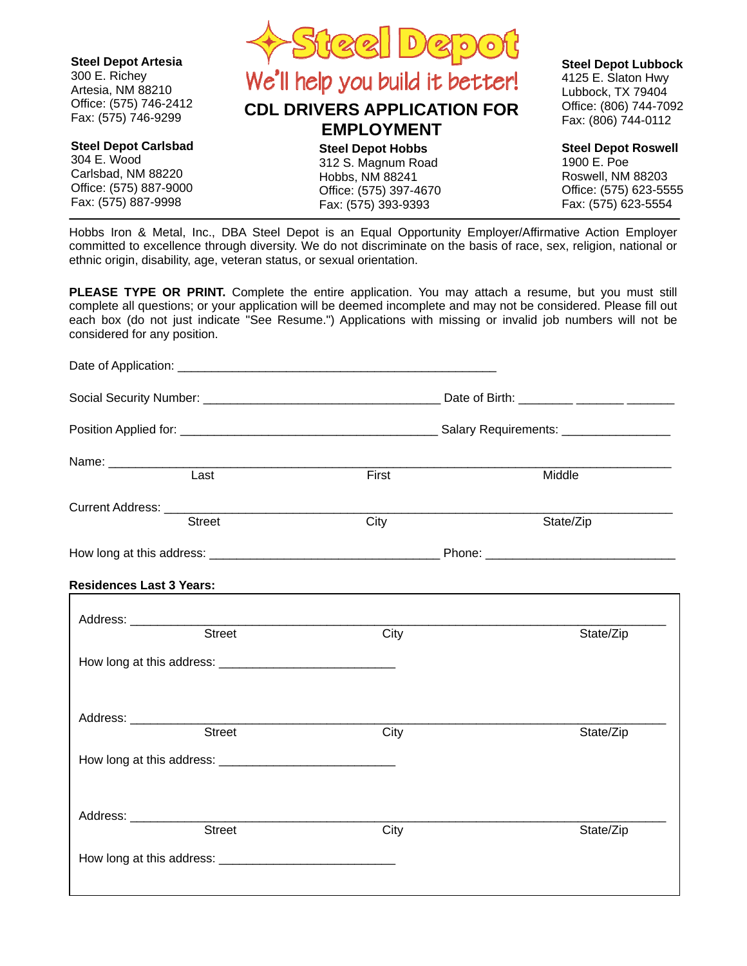

Hobbs Iron & Metal, Inc., DBA Steel Depot is an Equal Opportunity Employer/Affirmative Action Employer committed to excellence through diversity. We do not discriminate on the basis of race, sex, religion, national or ethnic origin, disability, age, veteran status, or sexual orientation.

**PLEASE TYPE OR PRINT.** Complete the entire application. You may attach a resume, but you must still complete all questions; or your application will be deemed incomplete and may not be considered. Please fill out each box (do not just indicate "See Resume.") Applications with missing or invalid job numbers will not be considered for any position.

| Last                            | First                                                                                                                 | Middle    |  |
|---------------------------------|-----------------------------------------------------------------------------------------------------------------------|-----------|--|
| Current Address: <u>Street</u>  |                                                                                                                       |           |  |
|                                 | City                                                                                                                  | State/Zip |  |
|                                 |                                                                                                                       |           |  |
| <b>Residences Last 3 Years:</b> | <u> 1989 - Johann Stoff, deutscher Stoff, der Stoff, der Stoff, der Stoff, der Stoff, der Stoff, der Stoff, der S</u> |           |  |
|                                 |                                                                                                                       |           |  |
| <b>Street</b>                   | City                                                                                                                  | State/Zip |  |
|                                 |                                                                                                                       |           |  |
| Address: ____________           |                                                                                                                       |           |  |
| <b>Street</b>                   | City                                                                                                                  | State/Zip |  |
|                                 |                                                                                                                       |           |  |
| Address: ____________           |                                                                                                                       |           |  |
| <b>Street</b>                   | City                                                                                                                  | State/Zip |  |
|                                 |                                                                                                                       |           |  |
|                                 |                                                                                                                       |           |  |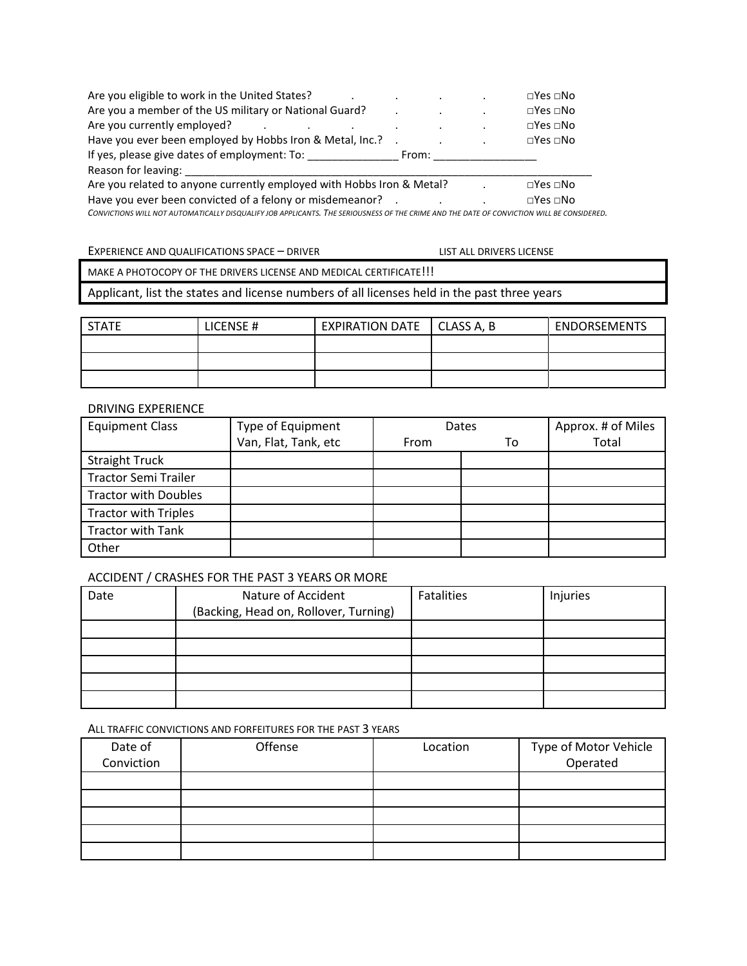| Are you eligible to work in the United States?                                                                                           |       | $\square$ Yes $\square$ No |
|------------------------------------------------------------------------------------------------------------------------------------------|-------|----------------------------|
| Are you a member of the US military or National Guard?                                                                                   |       | $\square$ Yes $\square$ No |
| Are you currently employed?                                                                                                              |       | $\square$ Yes $\square$ No |
| Have you ever been employed by Hobbs Iron & Metal, Inc.? .                                                                               |       | $\square$ Yes $\square$ No |
| If yes, please give dates of employment: To:                                                                                             | From: |                            |
| Reason for leaving:                                                                                                                      |       |                            |
| Are you related to anyone currently employed with Hobbs Iron & Metal?                                                                    |       | $\square$ Yes $\square$ No |
| Have you ever been convicted of a felony or misdemeanor? .                                                                               |       | $\square$ Yes $\square$ No |
| CONVICTIONS WILL NOT ALITOMATICALLY DISOLIALIEV JOR ARRUGANTS. THE SERIOLISMESS OF THE CRIME AND THE DATE OF CONVICTION WILL BE CONSIDER |       |                            |

ALIFY JOB APPLICANTS. THE SERIOUSNESS OF THE CRIME AND THE DATE OF CONVICTION WILL BE CONSIDERED.

EXPERIENCE AND QUALIFICATIONS SPACE – DRIVER LET NO LIST ALL DRIVERS LICENSE MAKE A PHOTOCOPY OF THE DRIVERS LICENSE AND MEDICAL CERTIFICATE!!!

Applicant, list the states and license numbers of all licenses held in the past three years

| <b>STATE</b> | LICENSE # | <b>EXPIRATION DATE</b> | CLASS A, B | <b>ENDORSEMENTS</b> |
|--------------|-----------|------------------------|------------|---------------------|
|              |           |                        |            |                     |
|              |           |                        |            |                     |
|              |           |                        |            |                     |

## DRIVING EXPERIENCE

| <b>Equipment Class</b>      | Type of Equipment    | Dates |    | Approx. # of Miles |
|-----------------------------|----------------------|-------|----|--------------------|
|                             | Van, Flat, Tank, etc | From  | то | Total              |
| <b>Straight Truck</b>       |                      |       |    |                    |
| <b>Tractor Semi Trailer</b> |                      |       |    |                    |
| <b>Tractor with Doubles</b> |                      |       |    |                    |
| <b>Tractor with Triples</b> |                      |       |    |                    |
| <b>Tractor with Tank</b>    |                      |       |    |                    |
| Other                       |                      |       |    |                    |

## ACCIDENT / CRASHES FOR THE PAST 3 YEARS OR MORE

| Date | Nature of Accident                    | Fatalities | Injuries |
|------|---------------------------------------|------------|----------|
|      | (Backing, Head on, Rollover, Turning) |            |          |
|      |                                       |            |          |
|      |                                       |            |          |
|      |                                       |            |          |
|      |                                       |            |          |
|      |                                       |            |          |

#### ALL TRAFFIC CONVICTIONS AND FORFEITURES FOR THE PAST 3 YEARS

| Date of    | Offense | Location | Type of Motor Vehicle |
|------------|---------|----------|-----------------------|
| Conviction |         |          | Operated              |
|            |         |          |                       |
|            |         |          |                       |
|            |         |          |                       |
|            |         |          |                       |
|            |         |          |                       |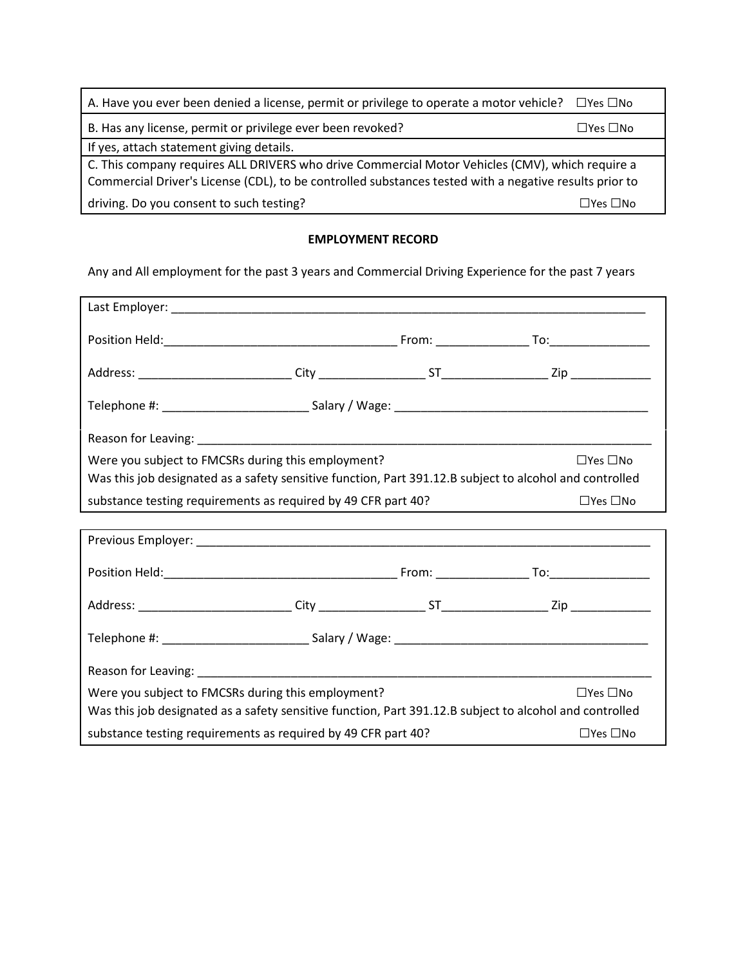| A. Have you ever been denied a license, permit or privilege to operate a motor vehicle?                                                                                                                   | $\square$ Yes $\square$ No |  |
|-----------------------------------------------------------------------------------------------------------------------------------------------------------------------------------------------------------|----------------------------|--|
| B. Has any license, permit or privilege ever been revoked?                                                                                                                                                | □Yes □No                   |  |
| If yes, attach statement giving details.                                                                                                                                                                  |                            |  |
| C. This company requires ALL DRIVERS who drive Commercial Motor Vehicles (CMV), which require a<br>Commercial Driver's License (CDL), to be controlled substances tested with a negative results prior to |                            |  |
| driving. Do you consent to such testing?                                                                                                                                                                  | $\Box$ Yes $\Box$ No       |  |

# EMPLOYMENT RECORD

Any and All employment for the past 3 years and Commercial Driving Experience for the past 7 years

| Were you subject to FMCSRs during this employment?            |  | $\Box$ Yes $\Box$ No                                                                                    |
|---------------------------------------------------------------|--|---------------------------------------------------------------------------------------------------------|
|                                                               |  | Was this job designated as a safety sensitive function, Part 391.12.B subject to alcohol and controlled |
| substance testing requirements as required by 49 CFR part 40? |  | $\Box$ Yes $\Box$ No                                                                                    |
|                                                               |  |                                                                                                         |
|                                                               |  |                                                                                                         |
|                                                               |  |                                                                                                         |
|                                                               |  |                                                                                                         |
|                                                               |  |                                                                                                         |
|                                                               |  |                                                                                                         |
| Were you subject to FMCSRs during this employment?            |  | $\Box$ Yes $\Box$ No                                                                                    |
|                                                               |  | Was this job designated as a safety sensitive function, Part 391.12.B subject to alcohol and controlled |
| substance testing requirements as required by 49 CFR part 40? |  | $\Box$ Yes $\Box$ No                                                                                    |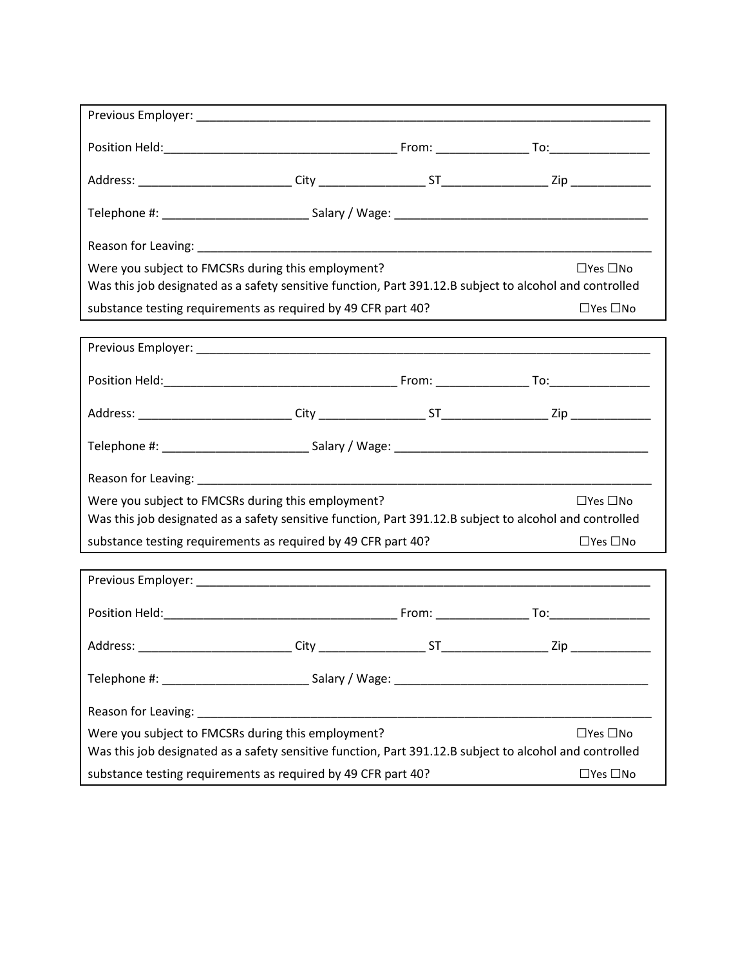| Were you subject to FMCSRs during this employment?                                                                                                                                    |         |    | $\Box$ Yes $\Box$ No                                                                                    |  |
|---------------------------------------------------------------------------------------------------------------------------------------------------------------------------------------|---------|----|---------------------------------------------------------------------------------------------------------|--|
|                                                                                                                                                                                       |         |    | Was this job designated as a safety sensitive function, Part 391.12.B subject to alcohol and controlled |  |
| substance testing requirements as required by 49 CFR part 40?                                                                                                                         |         |    | $\Box$ Yes $\Box$ No                                                                                    |  |
|                                                                                                                                                                                       |         |    |                                                                                                         |  |
|                                                                                                                                                                                       |         |    |                                                                                                         |  |
|                                                                                                                                                                                       |         |    |                                                                                                         |  |
|                                                                                                                                                                                       |         |    |                                                                                                         |  |
|                                                                                                                                                                                       |         |    |                                                                                                         |  |
| Were you subject to FMCSRs during this employment?<br>$\Box$ Yes $\Box$ No                                                                                                            |         |    |                                                                                                         |  |
| Was this job designated as a safety sensitive function, Part 391.12.B subject to alcohol and controlled                                                                               |         |    |                                                                                                         |  |
| substance testing requirements as required by 49 CFR part 40?                                                                                                                         |         |    | $\Box$ Yes $\Box$ No                                                                                    |  |
|                                                                                                                                                                                       |         |    |                                                                                                         |  |
|                                                                                                                                                                                       |         |    |                                                                                                         |  |
| Address:                                                                                                                                                                              | $City_$ | ST | Zip                                                                                                     |  |
|                                                                                                                                                                                       |         |    |                                                                                                         |  |
|                                                                                                                                                                                       |         |    |                                                                                                         |  |
|                                                                                                                                                                                       |         |    |                                                                                                         |  |
| Were you subject to FMCSRs during this employment?<br>$\Box$ Yes $\Box$ No<br>Was this job designated as a safety sensitive function, Part 391.12.B subject to alcohol and controlled |         |    |                                                                                                         |  |
|                                                                                                                                                                                       |         |    | $\Box$ Yes $\Box$ No                                                                                    |  |
| substance testing requirements as required by 49 CFR part 40?                                                                                                                         |         |    |                                                                                                         |  |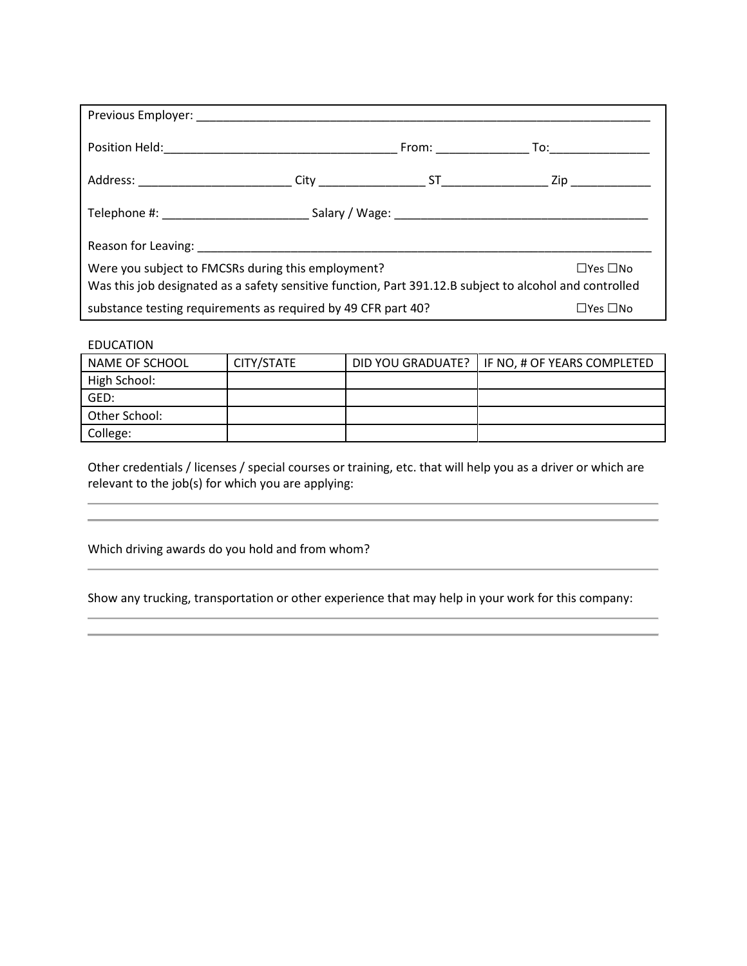| Were you subject to FMCSRs during this employment?<br>$\Box$ Yes $\Box$ No<br>Was this job designated as a safety sensitive function, Part 391.12.B subject to alcohol and controlled |  |  |                      |  |
|---------------------------------------------------------------------------------------------------------------------------------------------------------------------------------------|--|--|----------------------|--|
| substance testing requirements as required by 49 CFR part 40?                                                                                                                         |  |  | $\Box$ Yes $\Box$ No |  |

## EDUCATION

| NAME OF SCHOOL | CITY/STATE | DID YOU GRADUATE?   IF NO, # OF YEARS COMPLETED |
|----------------|------------|-------------------------------------------------|
| High School:   |            |                                                 |
| GED:           |            |                                                 |
| Other School:  |            |                                                 |
| College:       |            |                                                 |

Other credentials / licenses / special courses or training, etc. that will help you as a driver or which are relevant to the job(s) for which you are applying:

Which driving awards do you hold and from whom?

Show any trucking, transportation or other experience that may help in your work for this company: